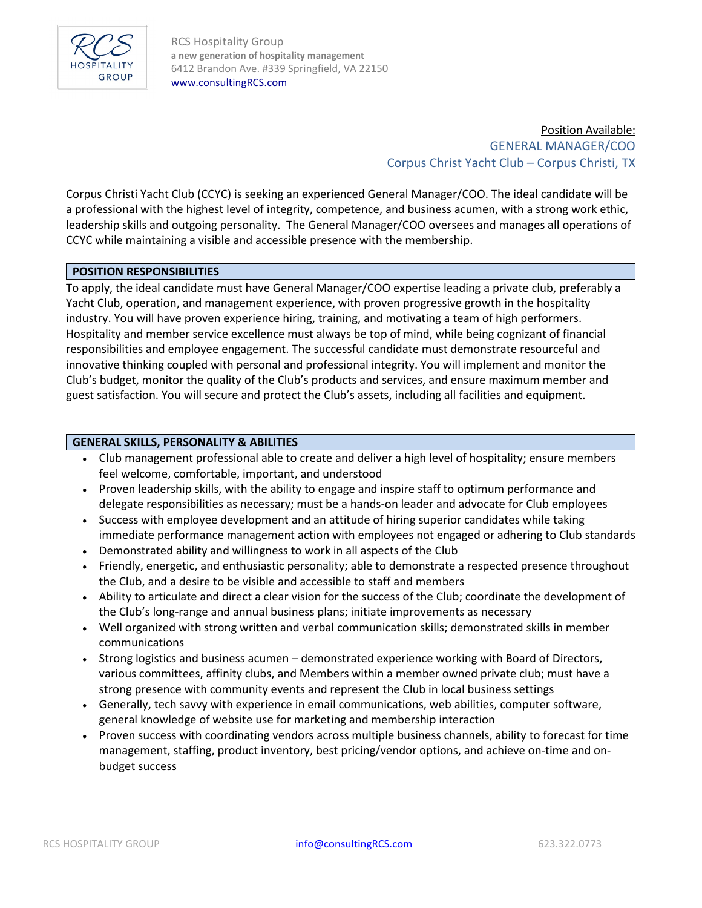

RCS Hospitality Group **a new generation of hospitality management** 6412 Brandon Ave. #339 Springfield, VA 22150 [www.consultingRCS.com](http://www.consultingrcs.com/)

> Position Available: GENERAL MANAGER/COO Corpus Christ Yacht Club – Corpus Christi, TX

Corpus Christi Yacht Club (CCYC) is seeking an experienced General Manager/COO. The ideal candidate will be a professional with the highest level of integrity, competence, and business acumen, with a strong work ethic, leadership skills and outgoing personality. The General Manager/COO oversees and manages all operations of CCYC while maintaining a visible and accessible presence with the membership.

#### **POSITION RESPONSIBILITIES**

To apply, the ideal candidate must have General Manager/COO expertise leading a private club, preferably a Yacht Club, operation, and management experience, with proven progressive growth in the hospitality industry. You will have proven experience hiring, training, and motivating a team of high performers. Hospitality and member service excellence must always be top of mind, while being cognizant of financial responsibilities and employee engagement. The successful candidate must demonstrate resourceful and innovative thinking coupled with personal and professional integrity. You will implement and monitor the Club's budget, monitor the quality of the Club's products and services, and ensure maximum member and guest satisfaction. You will secure and protect the Club's assets, including all facilities and equipment.

#### **GENERAL SKILLS, PERSONALITY & ABILITIES**

- Club management professional able to create and deliver a high level of hospitality; ensure members feel welcome, comfortable, important, and understood
- Proven leadership skills, with the ability to engage and inspire staff to optimum performance and delegate responsibilities as necessary; must be a hands-on leader and advocate for Club employees
- Success with employee development and an attitude of hiring superior candidates while taking immediate performance management action with employees not engaged or adhering to Club standards
- Demonstrated ability and willingness to work in all aspects of the Club
- Friendly, energetic, and enthusiastic personality; able to demonstrate a respected presence throughout the Club, and a desire to be visible and accessible to staff and members
- Ability to articulate and direct a clear vision for the success of the Club; coordinate the development of the Club's long-range and annual business plans; initiate improvements as necessary
- Well organized with strong written and verbal communication skills; demonstrated skills in member communications
- Strong logistics and business acumen demonstrated experience working with Board of Directors, various committees, affinity clubs, and Members within a member owned private club; must have a strong presence with community events and represent the Club in local business settings
- Generally, tech savvy with experience in email communications, web abilities, computer software, general knowledge of website use for marketing and membership interaction
- Proven success with coordinating vendors across multiple business channels, ability to forecast for time management, staffing, product inventory, best pricing/vendor options, and achieve on-time and onbudget success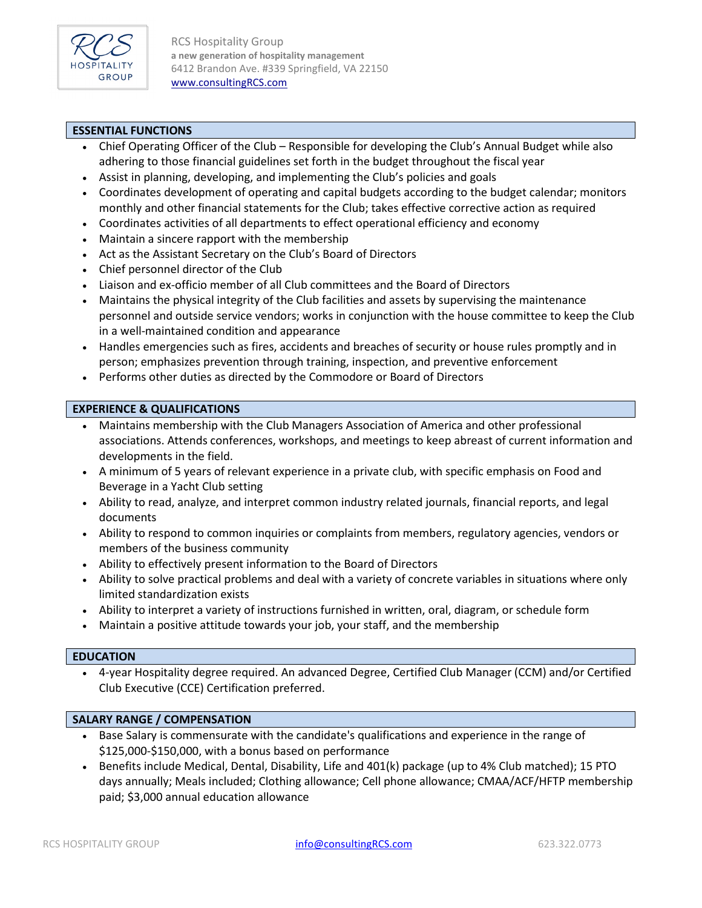

RCS Hospitality Group **a new generation of hospitality management** 6412 Brandon Ave. #339 Springfield, VA 22150 [www.consultingRCS.com](http://www.consultingrcs.com/)

## **ESSENTIAL FUNCTIONS**

- Chief Operating Officer of the Club Responsible for developing the Club's Annual Budget while also adhering to those financial guidelines set forth in the budget throughout the fiscal year
- Assist in planning, developing, and implementing the Club's policies and goals
- Coordinates development of operating and capital budgets according to the budget calendar; monitors monthly and other financial statements for the Club; takes effective corrective action as required
- Coordinates activities of all departments to effect operational efficiency and economy
- Maintain a sincere rapport with the membership
- Act as the Assistant Secretary on the Club's Board of Directors
- Chief personnel director of the Club
- Liaison and ex-officio member of all Club committees and the Board of Directors
- Maintains the physical integrity of the Club facilities and assets by supervising the maintenance personnel and outside service vendors; works in conjunction with the house committee to keep the Club in a well-maintained condition and appearance
- Handles emergencies such as fires, accidents and breaches of security or house rules promptly and in person; emphasizes prevention through training, inspection, and preventive enforcement
- Performs other duties as directed by the Commodore or Board of Directors

#### **EXPERIENCE & QUALIFICATIONS**

- Maintains membership with the Club Managers Association of America and other professional associations. Attends conferences, workshops, and meetings to keep abreast of current information and developments in the field.
- A minimum of 5 years of relevant experience in a private club, with specific emphasis on Food and Beverage in a Yacht Club setting
- Ability to read, analyze, and interpret common industry related journals, financial reports, and legal documents
- Ability to respond to common inquiries or complaints from members, regulatory agencies, vendors or members of the business community
- Ability to effectively present information to the Board of Directors
- Ability to solve practical problems and deal with a variety of concrete variables in situations where only limited standardization exists
- Ability to interpret a variety of instructions furnished in written, oral, diagram, or schedule form
- Maintain a positive attitude towards your job, your staff, and the membership

#### **EDUCATION**

• 4-year Hospitality degree required. An advanced Degree, Certified Club Manager (CCM) and/or Certified Club Executive (CCE) Certification preferred.

# **SALARY RANGE / COMPENSATION**

- Base Salary is commensurate with the candidate's qualifications and experience in the range of \$125,000-\$150,000, with a bonus based on performance
- Benefits include Medical, Dental, Disability, Life and 401(k) package (up to 4% Club matched); 15 PTO days annually; Meals included; Clothing allowance; Cell phone allowance; CMAA/ACF/HFTP membership paid; \$3,000 annual education allowance